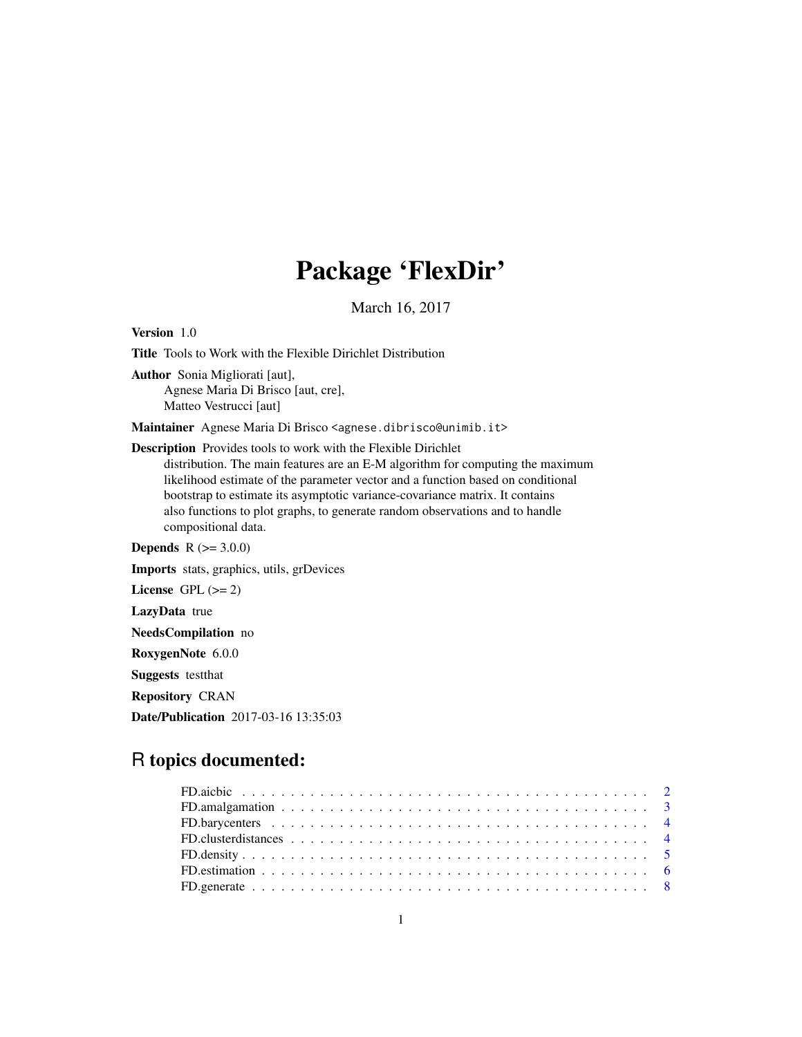# Package 'FlexDir'

March 16, 2017

Version 1.0 Title Tools to Work with the Flexible Dirichlet Distribution Author Sonia Migliorati [aut], Agnese Maria Di Brisco [aut, cre], Matteo Vestrucci [aut] Maintainer Agnese Maria Di Brisco <agnese.dibrisco@unimib.it> Description Provides tools to work with the Flexible Dirichlet distribution. The main features are an E-M algorithm for computing the maximum likelihood estimate of the parameter vector and a function based on conditional bootstrap to estimate its asymptotic variance-covariance matrix. It contains also functions to plot graphs, to generate random observations and to handle compositional data. **Depends**  $R (= 3.0.0)$ Imports stats, graphics, utils, grDevices License GPL  $(>= 2)$ LazyData true NeedsCompilation no RoxygenNote 6.0.0 Suggests testthat

Repository CRAN

Date/Publication 2017-03-16 13:35:03

# R topics documented:

| FD. amalgamation $\ldots \ldots \ldots \ldots \ldots \ldots \ldots \ldots \ldots \ldots \ldots \ldots \ldots$ |
|---------------------------------------------------------------------------------------------------------------|
|                                                                                                               |
|                                                                                                               |
|                                                                                                               |
|                                                                                                               |
|                                                                                                               |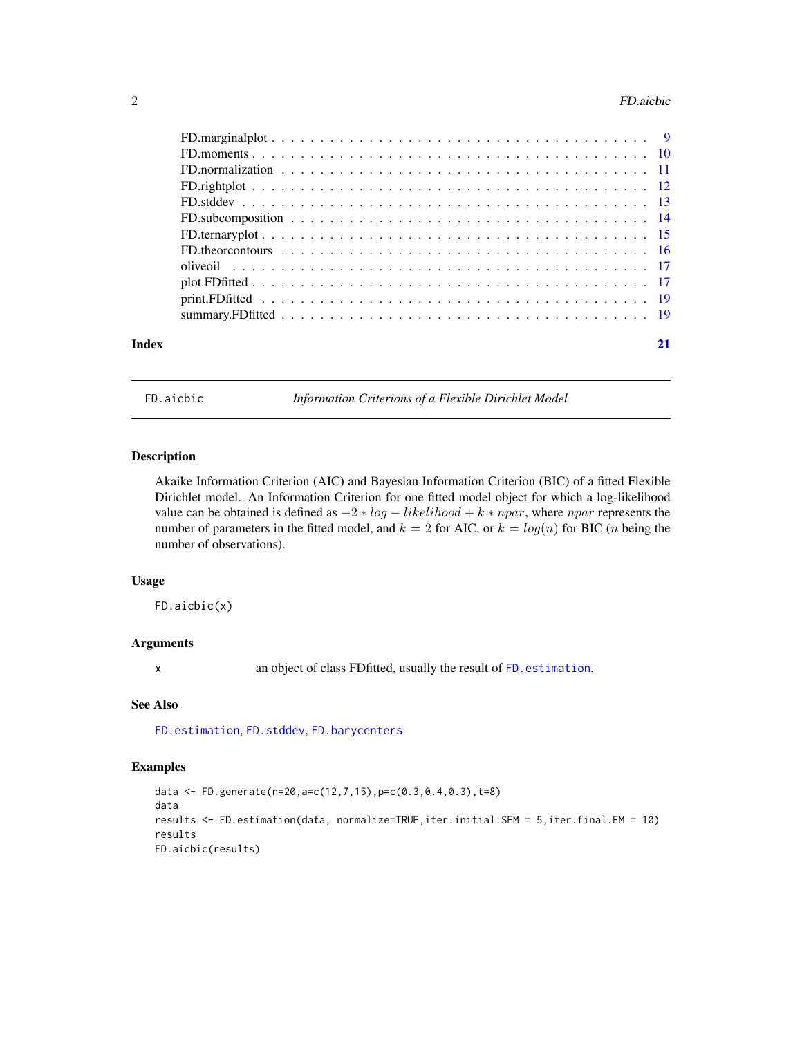#### <span id="page-1-0"></span>2 **Properties and the Contract of the Contract of the Contract of the Contract of the Contract of the Contract of the Contract of the Contract of the Contract of the Contract of the Contract of the Contract of the Contract**

| Index | 21 |
|-------|----|

<span id="page-1-1"></span>FD.aicbic *Information Criterions of a Flexible Dirichlet Model*

# Description

Akaike Information Criterion (AIC) and Bayesian Information Criterion (BIC) of a fitted Flexible Dirichlet model. An Information Criterion for one fitted model object for which a log-likelihood value can be obtained is defined as  $-2 * log - likelihood + k * npar$ , where npar represents the number of parameters in the fitted model, and  $k = 2$  for AIC, or  $k = log(n)$  for BIC (*n* being the number of observations).

#### Usage

FD.aicbic(x)

#### Arguments

x an object of class FDfitted, usually the result of [FD.estimation](#page-5-1).

#### See Also

[FD.estimation](#page-5-1), [FD.stddev](#page-12-1), [FD.barycenters](#page-3-1)

```
data <- FD.generate(n=20,a=c(12,7,15),p=c(0.3,0.4,0.3),t=8)
data
results <- FD.estimation(data, normalize=TRUE,iter.initial.SEM = 5,iter.final.EM = 10)
results
FD.aicbic(results)
```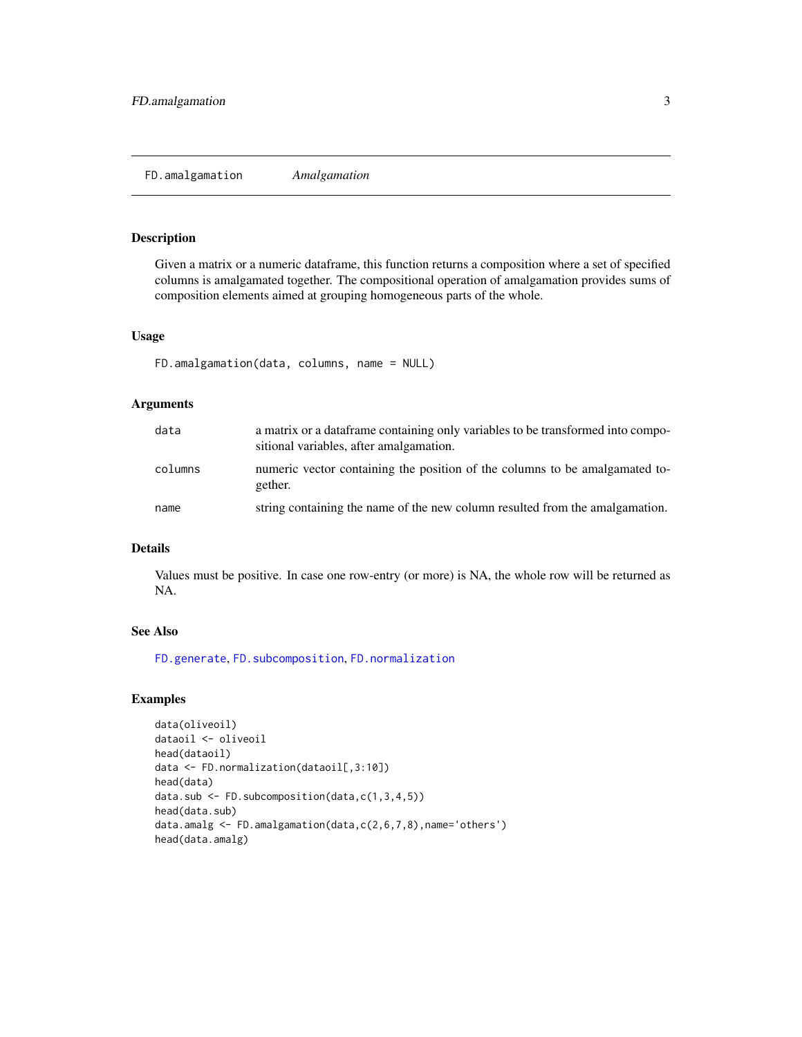<span id="page-2-1"></span><span id="page-2-0"></span>Given a matrix or a numeric dataframe, this function returns a composition where a set of specified columns is amalgamated together. The compositional operation of amalgamation provides sums of composition elements aimed at grouping homogeneous parts of the whole.

#### Usage

```
FD.amalgamation(data, columns, name = NULL)
```
# Arguments

| data    | a matrix or a data frame containing only variables to be transformed into compo-<br>sitional variables, after amalgamation. |
|---------|-----------------------------------------------------------------------------------------------------------------------------|
| columns | numeric vector containing the position of the columns to be amalgamated to-<br>gether.                                      |
| name    | string containing the name of the new column resulted from the amalgamation.                                                |

# Details

Values must be positive. In case one row-entry (or more) is NA, the whole row will be returned as NA.

# See Also

[FD.generate](#page-7-1), [FD.subcomposition](#page-13-1), [FD.normalization](#page-10-1)

```
data(oliveoil)
dataoil <- oliveoil
head(dataoil)
data <- FD.normalization(dataoil[,3:10])
head(data)
data.sub <- FD.subcomposition(data,c(1,3,4,5))
head(data.sub)
data.amalg <- FD.amalgamation(data,c(2,6,7,8),name='others')
head(data.amalg)
```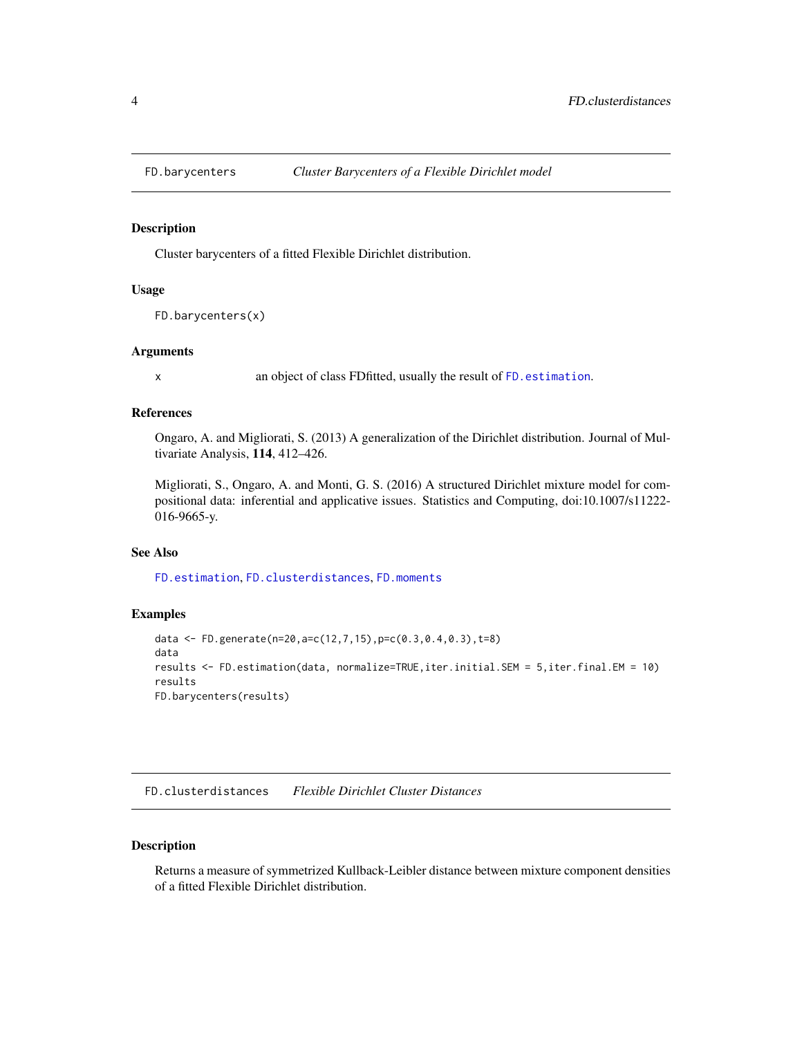<span id="page-3-1"></span><span id="page-3-0"></span>

Cluster barycenters of a fitted Flexible Dirichlet distribution.

#### Usage

FD.barycenters(x)

#### **Arguments**

x an object of class FDfitted, usually the result of [FD.estimation](#page-5-1).

# References

Ongaro, A. and Migliorati, S. (2013) A generalization of the Dirichlet distribution. Journal of Multivariate Analysis, 114, 412–426.

Migliorati, S., Ongaro, A. and Monti, G. S. (2016) A structured Dirichlet mixture model for compositional data: inferential and applicative issues. Statistics and Computing, doi:10.1007/s11222- 016-9665-y.

#### See Also

[FD.estimation](#page-5-1), [FD.clusterdistances](#page-3-2), [FD.moments](#page-9-1)

### Examples

```
data <- FD.generate(n=20,a=c(12,7,15),p=c(0.3,0.4,0.3),t=8)
data
results <- FD.estimation(data, normalize=TRUE,iter.initial.SEM = 5,iter.final.EM = 10)
results
FD.barycenters(results)
```
<span id="page-3-2"></span>FD.clusterdistances *Flexible Dirichlet Cluster Distances*

#### Description

Returns a measure of symmetrized Kullback-Leibler distance between mixture component densities of a fitted Flexible Dirichlet distribution.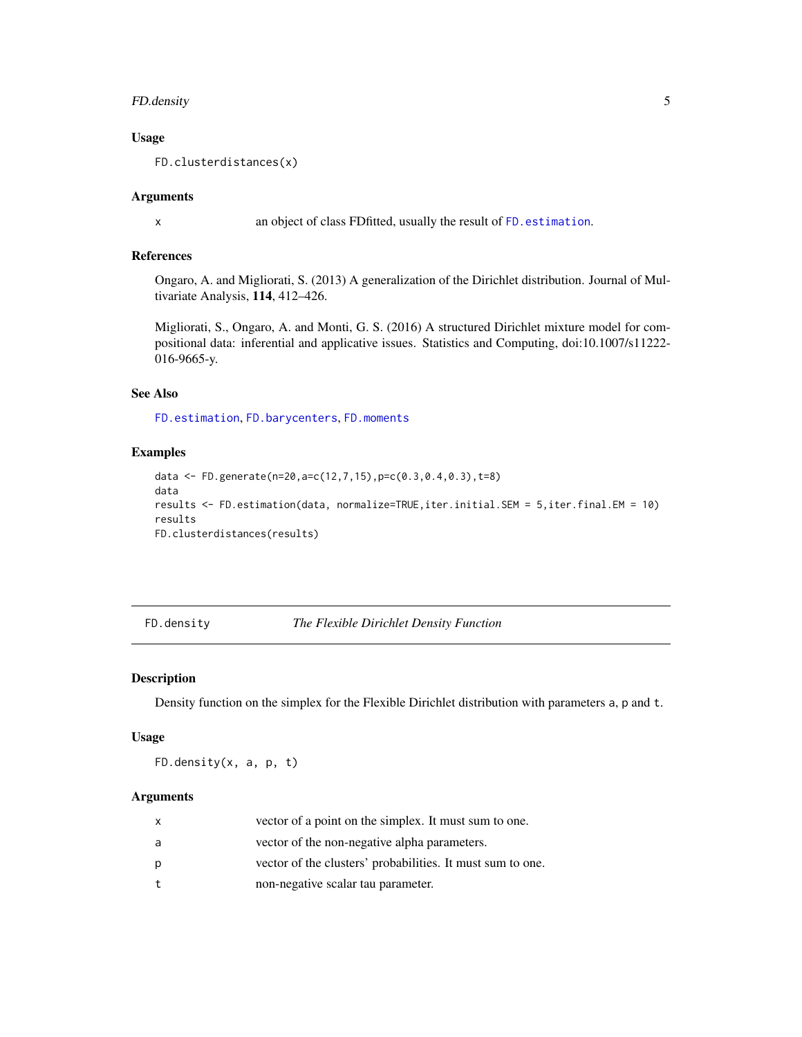# <span id="page-4-0"></span>FD.density 5

#### Usage

FD.clusterdistances(x)

#### Arguments

x an object of class FDfitted, usually the result of [FD.estimation](#page-5-1).

# References

Ongaro, A. and Migliorati, S. (2013) A generalization of the Dirichlet distribution. Journal of Multivariate Analysis, 114, 412–426.

Migliorati, S., Ongaro, A. and Monti, G. S. (2016) A structured Dirichlet mixture model for compositional data: inferential and applicative issues. Statistics and Computing, doi:10.1007/s11222- 016-9665-y.

#### See Also

[FD.estimation](#page-5-1), [FD.barycenters](#page-3-1), [FD.moments](#page-9-1)

# Examples

```
data <- FD.generate(n=20,a=c(12,7,15),p=c(0.3,0.4,0.3),t=8)
data
results <- FD.estimation(data, normalize=TRUE,iter.initial.SEM = 5,iter.final.EM = 10)
results
FD.clusterdistances(results)
```
<span id="page-4-1"></span>FD.density *The Flexible Dirichlet Density Function*

# Description

Density function on the simplex for the Flexible Dirichlet distribution with parameters a, p and t.

#### Usage

FD.density(x, a, p, t)

#### Arguments

| x | vector of a point on the simplex. It must sum to one.      |
|---|------------------------------------------------------------|
| a | vector of the non-negative alpha parameters.               |
| р | vector of the clusters' probabilities. It must sum to one. |
| t | non-negative scalar tau parameter.                         |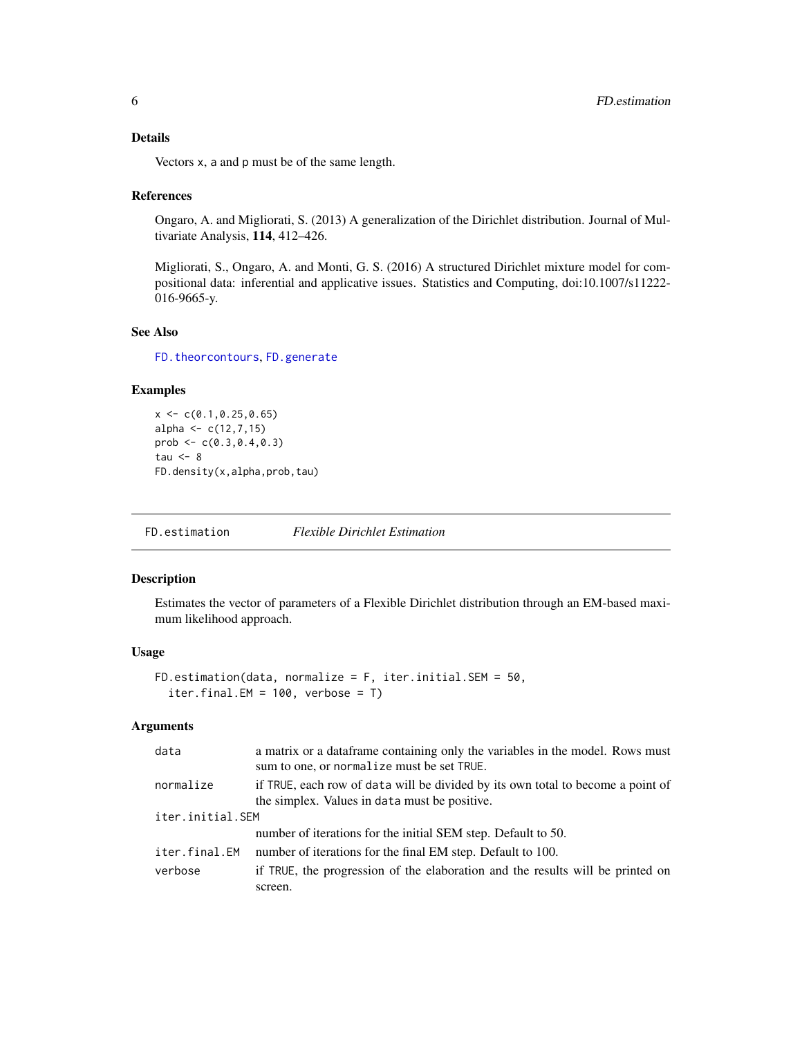# <span id="page-5-0"></span>Details

Vectors x, a and p must be of the same length.

#### References

Ongaro, A. and Migliorati, S. (2013) A generalization of the Dirichlet distribution. Journal of Multivariate Analysis, 114, 412–426.

Migliorati, S., Ongaro, A. and Monti, G. S. (2016) A structured Dirichlet mixture model for compositional data: inferential and applicative issues. Statistics and Computing, doi:10.1007/s11222- 016-9665-y.

# See Also

[FD.theorcontours](#page-15-1), [FD.generate](#page-7-1)

#### Examples

 $x \leq -c(0.1, 0.25, 0.65)$ alpha  $\leq -c(12, 7, 15)$ prob <- c(0.3,0.4,0.3) tau  $<-8$ FD.density(x,alpha,prob,tau)

<span id="page-5-1"></span>FD.estimation *Flexible Dirichlet Estimation*

# Description

Estimates the vector of parameters of a Flexible Dirichlet distribution through an EM-based maximum likelihood approach.

#### Usage

```
FD.estimation(data, normalize = F, iter.initial.SEM = 50,
  iter.final.EM = 100, verbose = T)
```
# Arguments

| data             | a matrix or a data frame containing only the variables in the model. Rows must<br>sum to one, or normalize must be set TRUE.     |  |
|------------------|----------------------------------------------------------------------------------------------------------------------------------|--|
| normalize        | if TRUE, each row of data will be divided by its own total to become a point of<br>the simplex. Values in data must be positive. |  |
| iter.initial.SEM |                                                                                                                                  |  |
|                  | number of iterations for the initial SEM step. Default to 50.                                                                    |  |
| iter.final.EM    | number of iterations for the final EM step. Default to 100.                                                                      |  |
| verbose          | if TRUE, the progression of the elaboration and the results will be printed on                                                   |  |
|                  | screen.                                                                                                                          |  |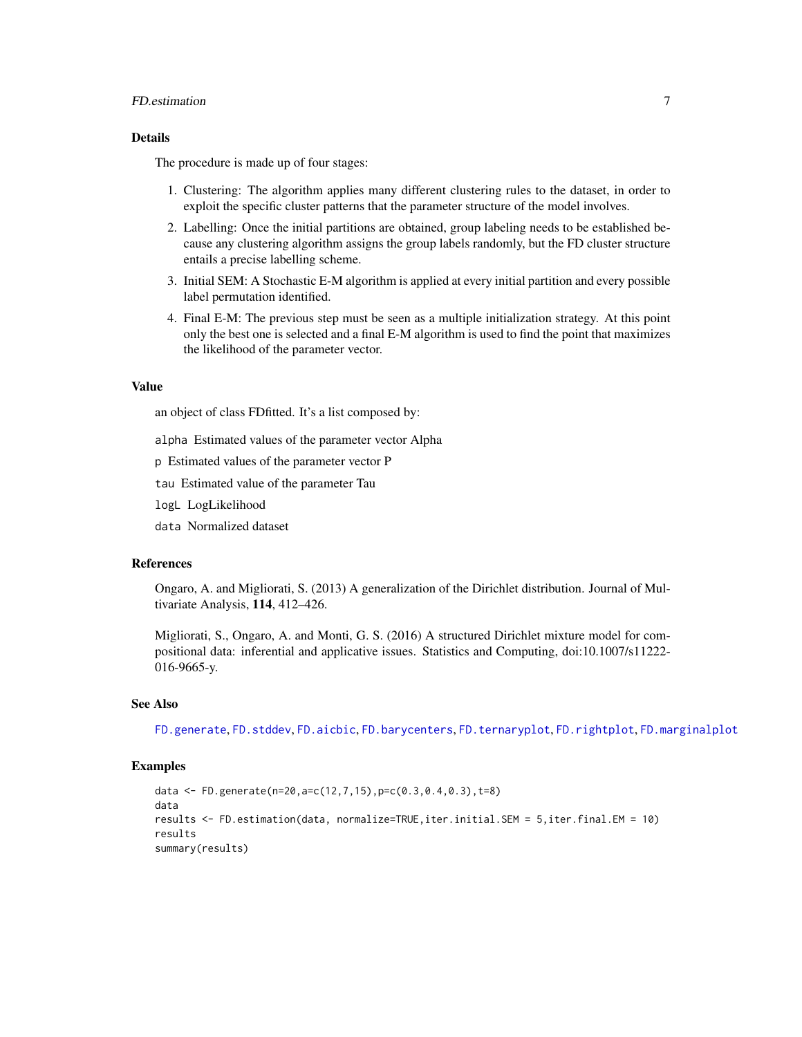# <span id="page-6-0"></span>FD.estimation 7

# Details

The procedure is made up of four stages:

- 1. Clustering: The algorithm applies many different clustering rules to the dataset, in order to exploit the specific cluster patterns that the parameter structure of the model involves.
- 2. Labelling: Once the initial partitions are obtained, group labeling needs to be established because any clustering algorithm assigns the group labels randomly, but the FD cluster structure entails a precise labelling scheme.
- 3. Initial SEM: A Stochastic E-M algorithm is applied at every initial partition and every possible label permutation identified.
- 4. Final E-M: The previous step must be seen as a multiple initialization strategy. At this point only the best one is selected and a final E-M algorithm is used to find the point that maximizes the likelihood of the parameter vector.

#### Value

an object of class FDfitted. It's a list composed by:

alpha Estimated values of the parameter vector Alpha

p Estimated values of the parameter vector P

tau Estimated value of the parameter Tau

logL LogLikelihood

data Normalized dataset

#### References

Ongaro, A. and Migliorati, S. (2013) A generalization of the Dirichlet distribution. Journal of Multivariate Analysis, 114, 412–426.

Migliorati, S., Ongaro, A. and Monti, G. S. (2016) A structured Dirichlet mixture model for compositional data: inferential and applicative issues. Statistics and Computing, doi:10.1007/s11222- 016-9665-y.

#### See Also

[FD.generate](#page-7-1), [FD.stddev](#page-12-1), [FD.aicbic](#page-1-1), [FD.barycenters](#page-3-1), [FD.ternaryplot](#page-14-1), [FD.rightplot](#page-11-1), [FD.marginalplot](#page-8-1)

```
data <- FD.generate(n=20,a=c(12,7,15),p=c(0.3,0.4,0.3),t=8)
data
results <- FD.estimation(data, normalize=TRUE,iter.initial.SEM = 5,iter.final.EM = 10)
results
summary(results)
```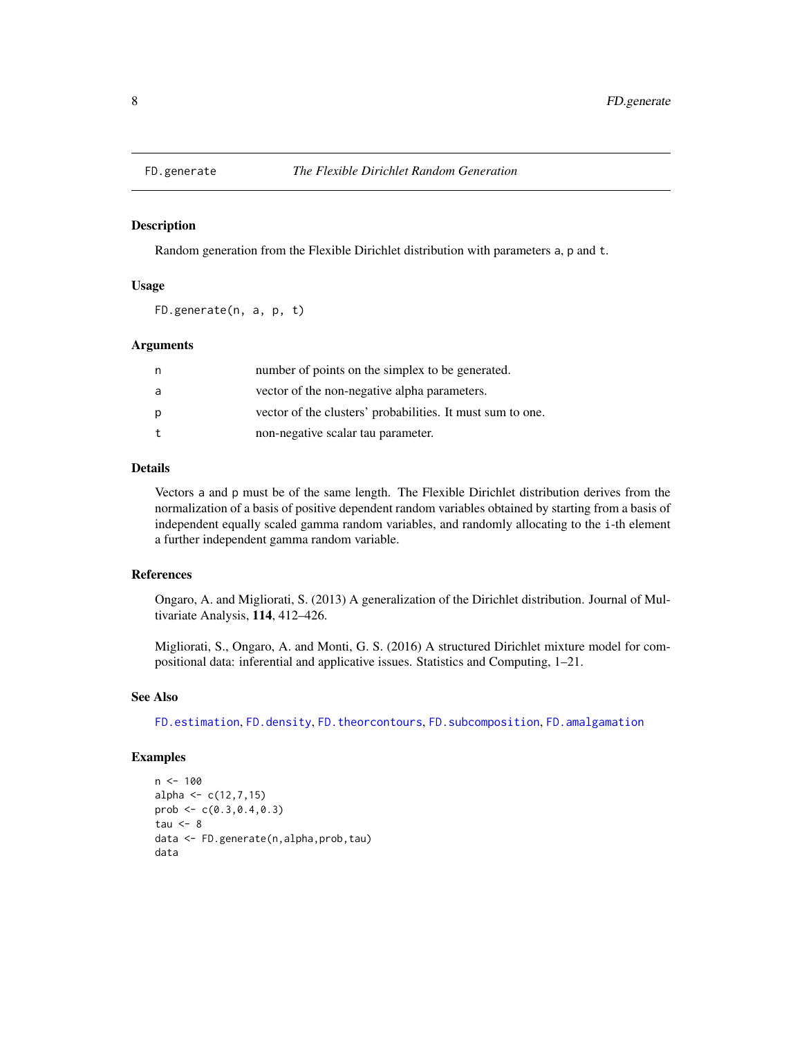<span id="page-7-1"></span><span id="page-7-0"></span>

Random generation from the Flexible Dirichlet distribution with parameters a, p and t.

# Usage

FD.generate(n, a, p, t)

#### Arguments

| n | number of points on the simplex to be generated.           |
|---|------------------------------------------------------------|
| a | vector of the non-negative alpha parameters.               |
| р | vector of the clusters' probabilities. It must sum to one. |
| t | non-negative scalar tau parameter.                         |

# Details

Vectors a and p must be of the same length. The Flexible Dirichlet distribution derives from the normalization of a basis of positive dependent random variables obtained by starting from a basis of independent equally scaled gamma random variables, and randomly allocating to the i-th element a further independent gamma random variable.

# References

Ongaro, A. and Migliorati, S. (2013) A generalization of the Dirichlet distribution. Journal of Multivariate Analysis, 114, 412–426.

Migliorati, S., Ongaro, A. and Monti, G. S. (2016) A structured Dirichlet mixture model for compositional data: inferential and applicative issues. Statistics and Computing, 1–21.

#### See Also

[FD.estimation](#page-5-1), [FD.density](#page-4-1), [FD.theorcontours](#page-15-1), [FD.subcomposition](#page-13-1), [FD.amalgamation](#page-2-1)

```
n < - 100alpha \leq c(12, 7, 15)prob \leq c(0.3, 0.4, 0.3)tau <-8data <- FD.generate(n,alpha,prob,tau)
data
```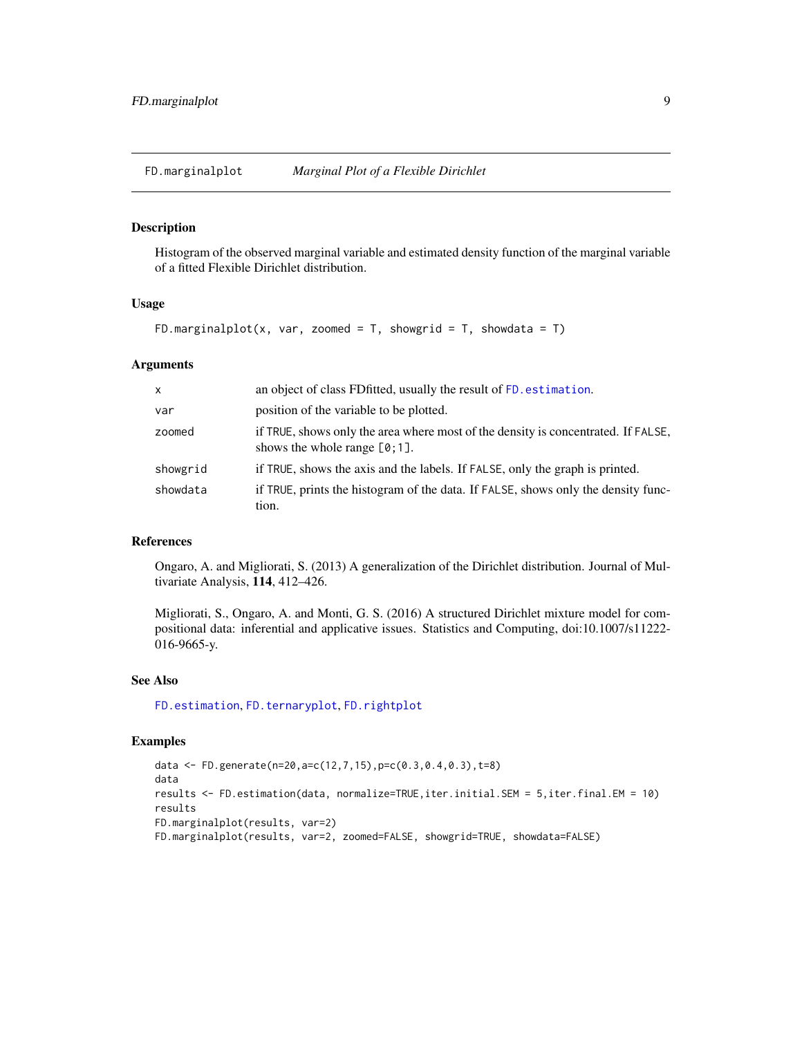<span id="page-8-1"></span><span id="page-8-0"></span>

Histogram of the observed marginal variable and estimated density function of the marginal variable of a fitted Flexible Dirichlet distribution.

#### Usage

```
FD.marginalplot(x, var, zoomed = T, showgrid = T, showdata = T)
```
#### **Arguments**

| $\mathsf{x}$ | an object of class FD fitted, usually the result of FD. estimation.                                                   |
|--------------|-----------------------------------------------------------------------------------------------------------------------|
| var          | position of the variable to be plotted.                                                                               |
| zoomed       | if TRUE, shows only the area where most of the density is concentrated. If FALSE,<br>shows the whole range $[0, 1]$ . |
| showgrid     | if TRUE, shows the axis and the labels. If FALSE, only the graph is printed.                                          |
| showdata     | if TRUE, prints the histogram of the data. If FALSE, shows only the density func-<br>tion.                            |

#### References

Ongaro, A. and Migliorati, S. (2013) A generalization of the Dirichlet distribution. Journal of Multivariate Analysis, 114, 412–426.

Migliorati, S., Ongaro, A. and Monti, G. S. (2016) A structured Dirichlet mixture model for compositional data: inferential and applicative issues. Statistics and Computing, doi:10.1007/s11222- 016-9665-y.

#### See Also

[FD.estimation](#page-5-1), [FD.ternaryplot](#page-14-1), [FD.rightplot](#page-11-1)

```
data <- FD.generate(n=20,a=c(12,7,15),p=c(0.3,0.4,0.3),t=8)
data
results <- FD.estimation(data, normalize=TRUE,iter.initial.SEM = 5,iter.final.EM = 10)
results
FD.marginalplot(results, var=2)
FD.marginalplot(results, var=2, zoomed=FALSE, showgrid=TRUE, showdata=FALSE)
```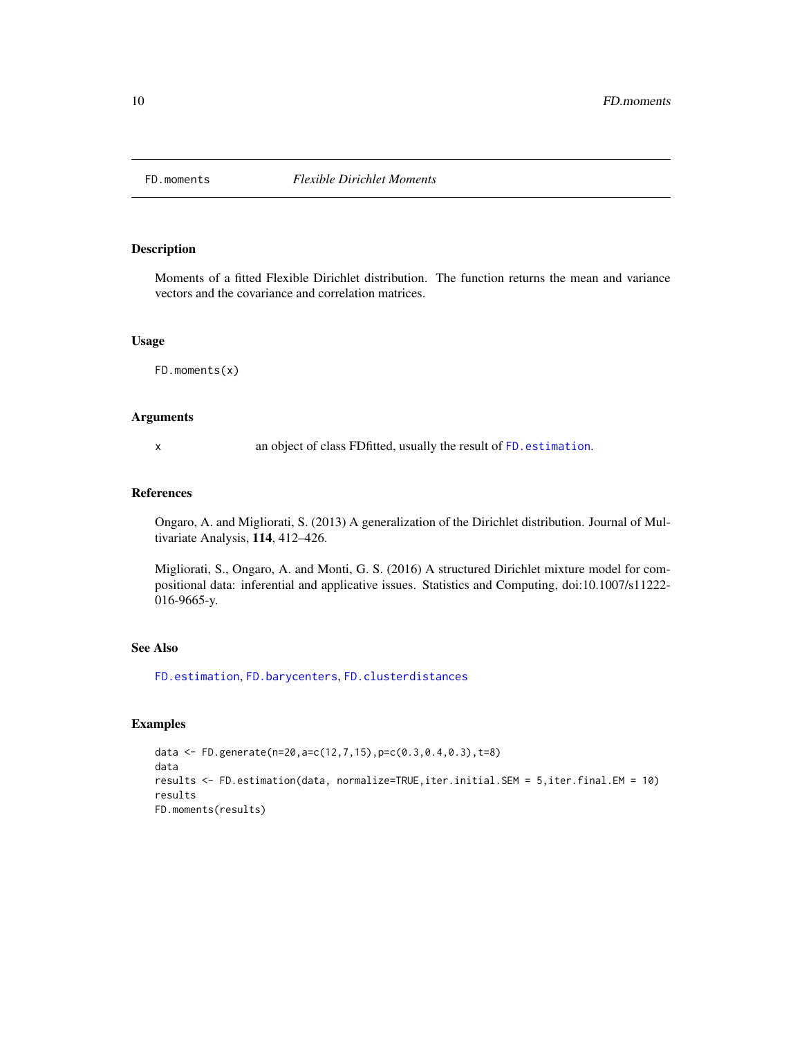<span id="page-9-1"></span><span id="page-9-0"></span>

Moments of a fitted Flexible Dirichlet distribution. The function returns the mean and variance vectors and the covariance and correlation matrices.

# Usage

FD.moments(x)

# Arguments

x an object of class FDfitted, usually the result of [FD.estimation](#page-5-1).

#### References

Ongaro, A. and Migliorati, S. (2013) A generalization of the Dirichlet distribution. Journal of Multivariate Analysis, 114, 412–426.

Migliorati, S., Ongaro, A. and Monti, G. S. (2016) A structured Dirichlet mixture model for compositional data: inferential and applicative issues. Statistics and Computing, doi:10.1007/s11222- 016-9665-y.

# See Also

[FD.estimation](#page-5-1), [FD.barycenters](#page-3-1), [FD.clusterdistances](#page-3-2)

```
data <- FD.generate(n=20,a=c(12,7,15),p=c(0.3,0.4,0.3),t=8)
data
results <- FD.estimation(data, normalize=TRUE,iter.initial.SEM = 5,iter.final.EM = 10)
results
FD.moments(results)
```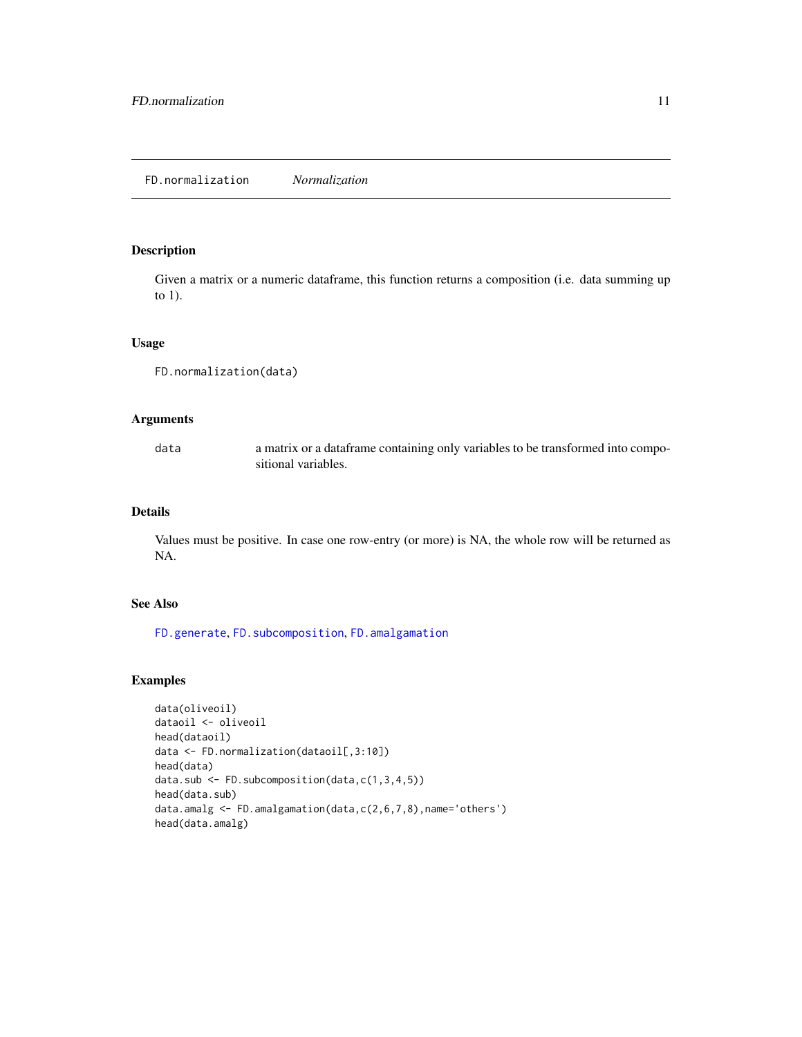<span id="page-10-1"></span><span id="page-10-0"></span>Given a matrix or a numeric dataframe, this function returns a composition (i.e. data summing up to 1).

#### Usage

```
FD.normalization(data)
```
# Arguments

data a matrix or a dataframe containing only variables to be transformed into compositional variables.

# Details

Values must be positive. In case one row-entry (or more) is NA, the whole row will be returned as NA.

# See Also

[FD.generate](#page-7-1), [FD.subcomposition](#page-13-1), [FD.amalgamation](#page-2-1)

```
data(oliveoil)
dataoil <- oliveoil
head(dataoil)
data <- FD.normalization(dataoil[,3:10])
head(data)
data.sub <- FD.subcomposition(data,c(1,3,4,5))
head(data.sub)
data.amalg <- FD.amalgamation(data,c(2,6,7,8),name='others')
head(data.amalg)
```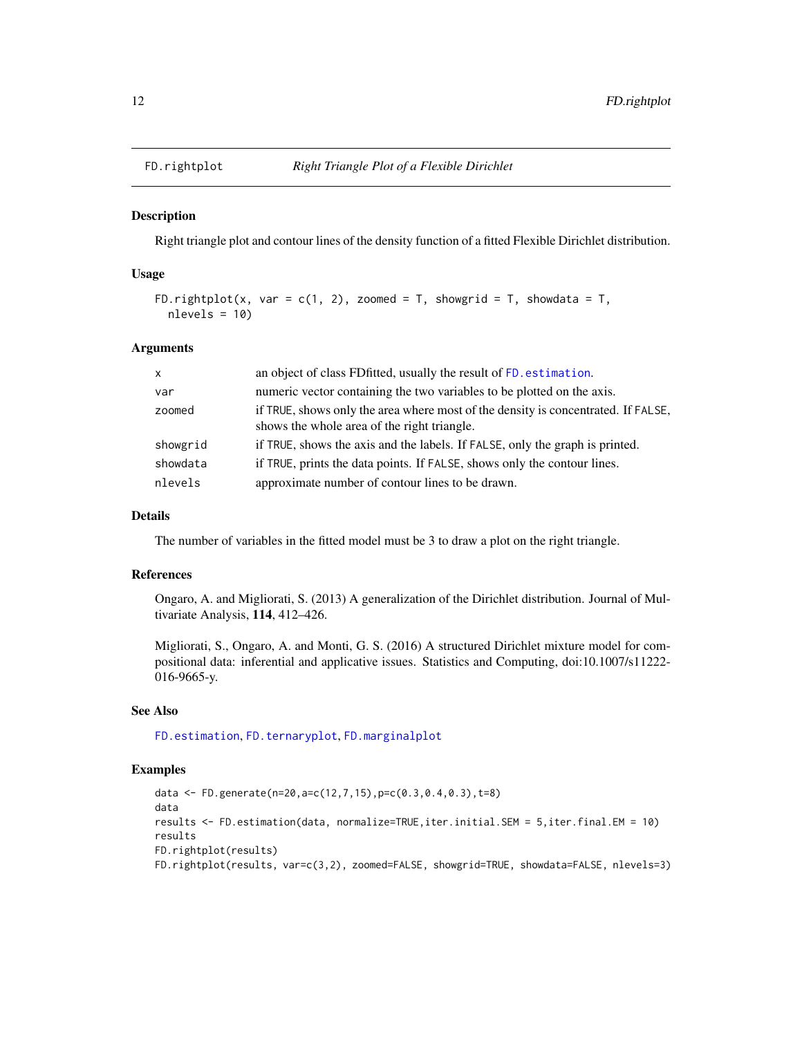<span id="page-11-1"></span><span id="page-11-0"></span>

Right triangle plot and contour lines of the density function of a fitted Flexible Dirichlet distribution.

#### Usage

```
FD.rightplot(x, var = c(1, 2), zoomed = T, showgrid = T, showdata = T,
  nlevels = 10
```
#### Arguments

| $\mathsf{X}$ | an object of class FD fitted, usually the result of FD. estimation.                                                              |
|--------------|----------------------------------------------------------------------------------------------------------------------------------|
| var          | numeric vector containing the two variables to be plotted on the axis.                                                           |
| zoomed       | if TRUE, shows only the area where most of the density is concentrated. If FALSE,<br>shows the whole area of the right triangle. |
| showgrid     | if TRUE, shows the axis and the labels. If FALSE, only the graph is printed.                                                     |
| showdata     | if TRUE, prints the data points. If FALSE, shows only the contour lines.                                                         |
| nlevels      | approximate number of contour lines to be drawn.                                                                                 |

#### Details

The number of variables in the fitted model must be 3 to draw a plot on the right triangle.

#### References

Ongaro, A. and Migliorati, S. (2013) A generalization of the Dirichlet distribution. Journal of Multivariate Analysis, 114, 412–426.

Migliorati, S., Ongaro, A. and Monti, G. S. (2016) A structured Dirichlet mixture model for compositional data: inferential and applicative issues. Statistics and Computing, doi:10.1007/s11222- 016-9665-y.

# See Also

[FD.estimation](#page-5-1), [FD.ternaryplot](#page-14-1), [FD.marginalplot](#page-8-1)

```
data <- FD.generate(n=20,a=c(12,7,15),p=c(0.3,0.4,0.3),t=8)
data
results <- FD.estimation(data, normalize=TRUE,iter.initial.SEM = 5,iter.final.EM = 10)
results
FD.rightplot(results)
FD.rightplot(results, var=c(3,2), zoomed=FALSE, showgrid=TRUE, showdata=FALSE, nlevels=3)
```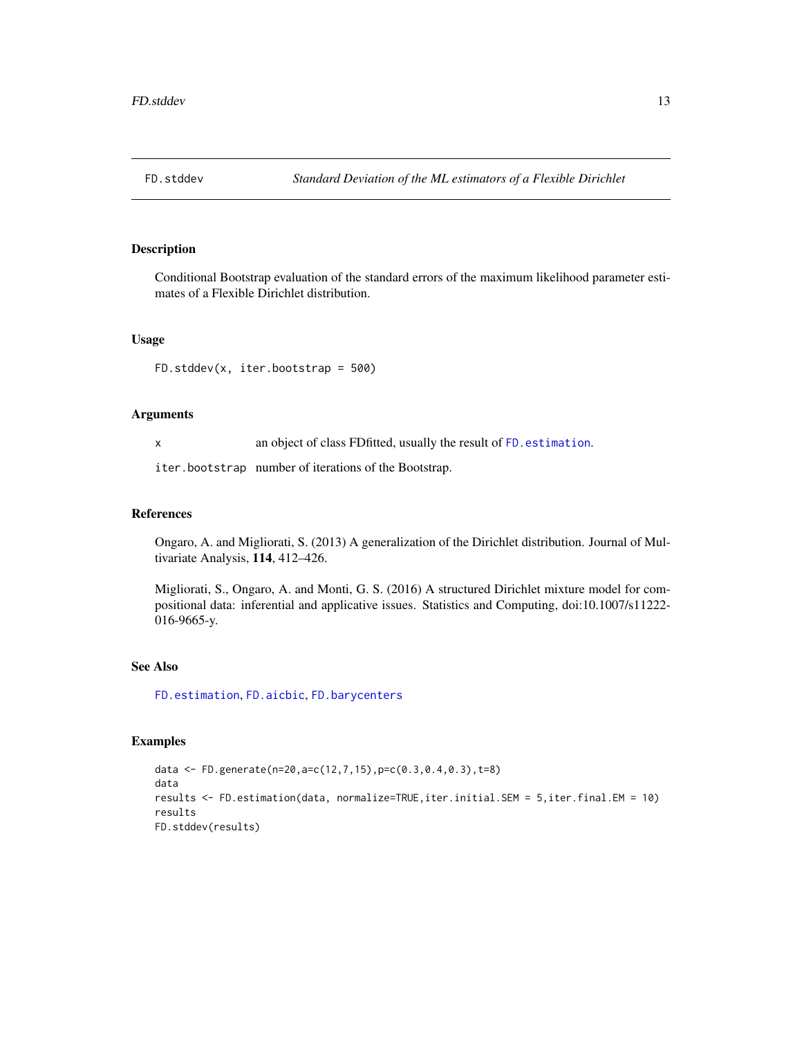<span id="page-12-1"></span><span id="page-12-0"></span>

Conditional Bootstrap evaluation of the standard errors of the maximum likelihood parameter estimates of a Flexible Dirichlet distribution.

# Usage

```
FD.stddev(x, iter.bootstrap = 500)
```
#### Arguments

x an object of class FDfitted, usually the result of [FD.estimation](#page-5-1).

iter.bootstrap number of iterations of the Bootstrap.

#### References

Ongaro, A. and Migliorati, S. (2013) A generalization of the Dirichlet distribution. Journal of Multivariate Analysis, 114, 412–426.

Migliorati, S., Ongaro, A. and Monti, G. S. (2016) A structured Dirichlet mixture model for compositional data: inferential and applicative issues. Statistics and Computing, doi:10.1007/s11222- 016-9665-y.

# See Also

[FD.estimation](#page-5-1), [FD.aicbic](#page-1-1), [FD.barycenters](#page-3-1)

```
data <- FD.generate(n=20,a=c(12,7,15),p=c(0.3,0.4,0.3),t=8)
data
results <- FD.estimation(data, normalize=TRUE,iter.initial.SEM = 5,iter.final.EM = 10)
results
FD.stddev(results)
```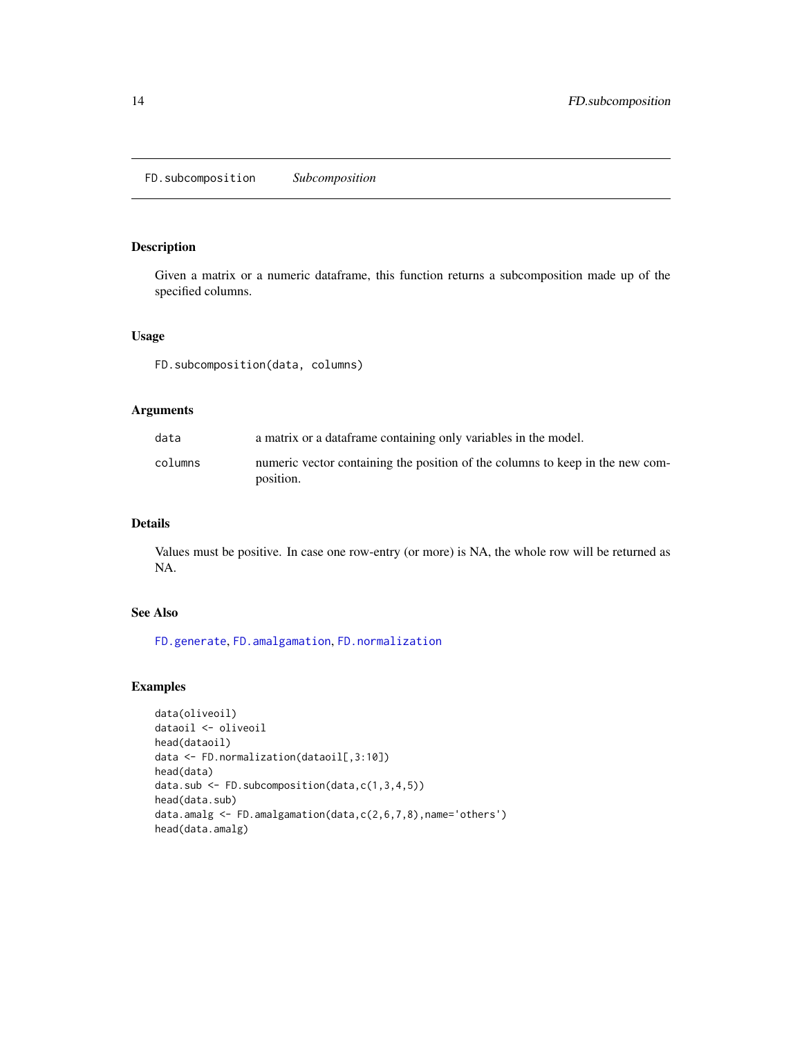<span id="page-13-1"></span><span id="page-13-0"></span>FD.subcomposition *Subcomposition*

### Description

Given a matrix or a numeric dataframe, this function returns a subcomposition made up of the specified columns.

# Usage

FD.subcomposition(data, columns)

# Arguments

| data    | a matrix or a data frame containing only variables in the model.                           |
|---------|--------------------------------------------------------------------------------------------|
| columns | numeric vector containing the position of the columns to keep in the new com-<br>position. |

# Details

Values must be positive. In case one row-entry (or more) is NA, the whole row will be returned as NA.

# See Also

[FD.generate](#page-7-1), [FD.amalgamation](#page-2-1), [FD.normalization](#page-10-1)

```
data(oliveoil)
dataoil <- oliveoil
head(dataoil)
data <- FD.normalization(dataoil[,3:10])
head(data)
data.sub <- FD.subcomposition(data,c(1,3,4,5))
head(data.sub)
data.amalg <- FD.amalgamation(data,c(2,6,7,8),name='others')
head(data.amalg)
```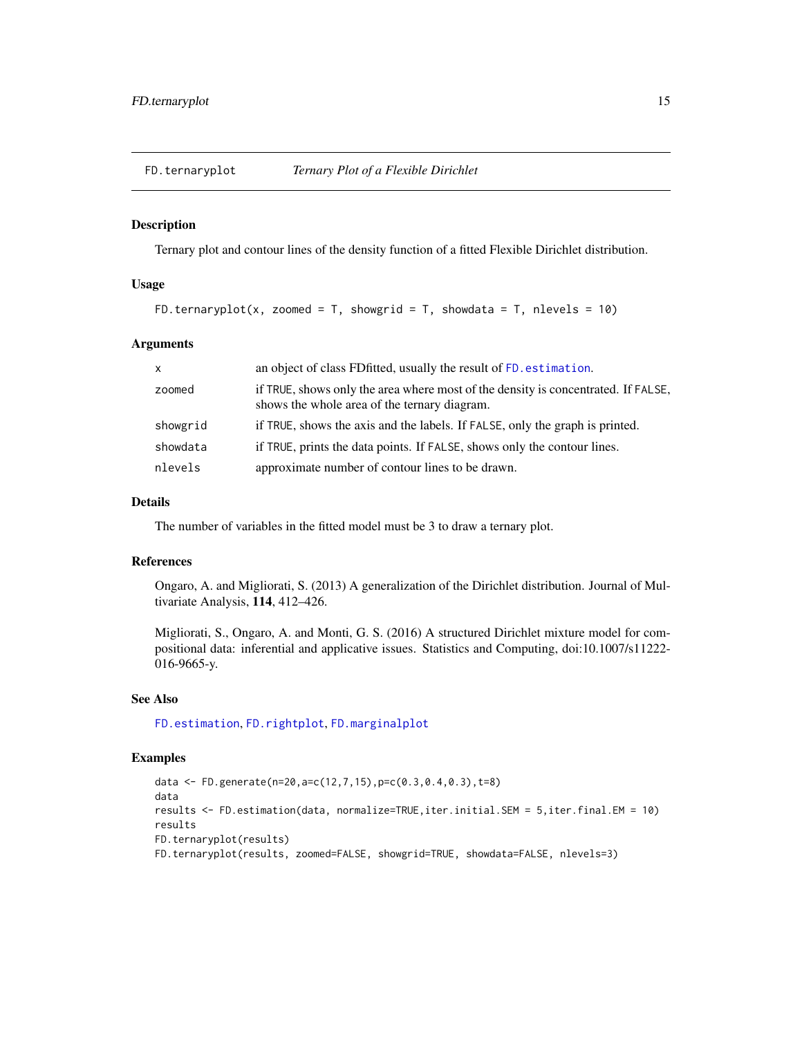<span id="page-14-1"></span><span id="page-14-0"></span>

Ternary plot and contour lines of the density function of a fitted Flexible Dirichlet distribution.

# Usage

```
FD.ternaryplot(x, zoomed = T, showgrid = T, showdata = T, nlevels = 10)
```
#### **Arguments**

| $\mathsf{x}$ | an object of class FD fitted, usually the result of FD. estimation.                                                               |
|--------------|-----------------------------------------------------------------------------------------------------------------------------------|
| zoomed       | if TRUE, shows only the area where most of the density is concentrated. If FALSE,<br>shows the whole area of the ternary diagram. |
| showgrid     | if TRUE, shows the axis and the labels. If FALSE, only the graph is printed.                                                      |
| showdata     | if TRUE, prints the data points. If FALSE, shows only the contour lines.                                                          |
| nlevels      | approximate number of contour lines to be drawn.                                                                                  |

# Details

The number of variables in the fitted model must be 3 to draw a ternary plot.

# References

Ongaro, A. and Migliorati, S. (2013) A generalization of the Dirichlet distribution. Journal of Multivariate Analysis, 114, 412–426.

Migliorati, S., Ongaro, A. and Monti, G. S. (2016) A structured Dirichlet mixture model for compositional data: inferential and applicative issues. Statistics and Computing, doi:10.1007/s11222- 016-9665-y.

# See Also

[FD.estimation](#page-5-1), [FD.rightplot](#page-11-1), [FD.marginalplot](#page-8-1)

```
data <- FD.generate(n=20,a=c(12,7,15),p=c(0.3,0.4,0.3),t=8)
data
results <- FD.estimation(data, normalize=TRUE,iter.initial.SEM = 5,iter.final.EM = 10)
results
FD.ternaryplot(results)
FD.ternaryplot(results, zoomed=FALSE, showgrid=TRUE, showdata=FALSE, nlevels=3)
```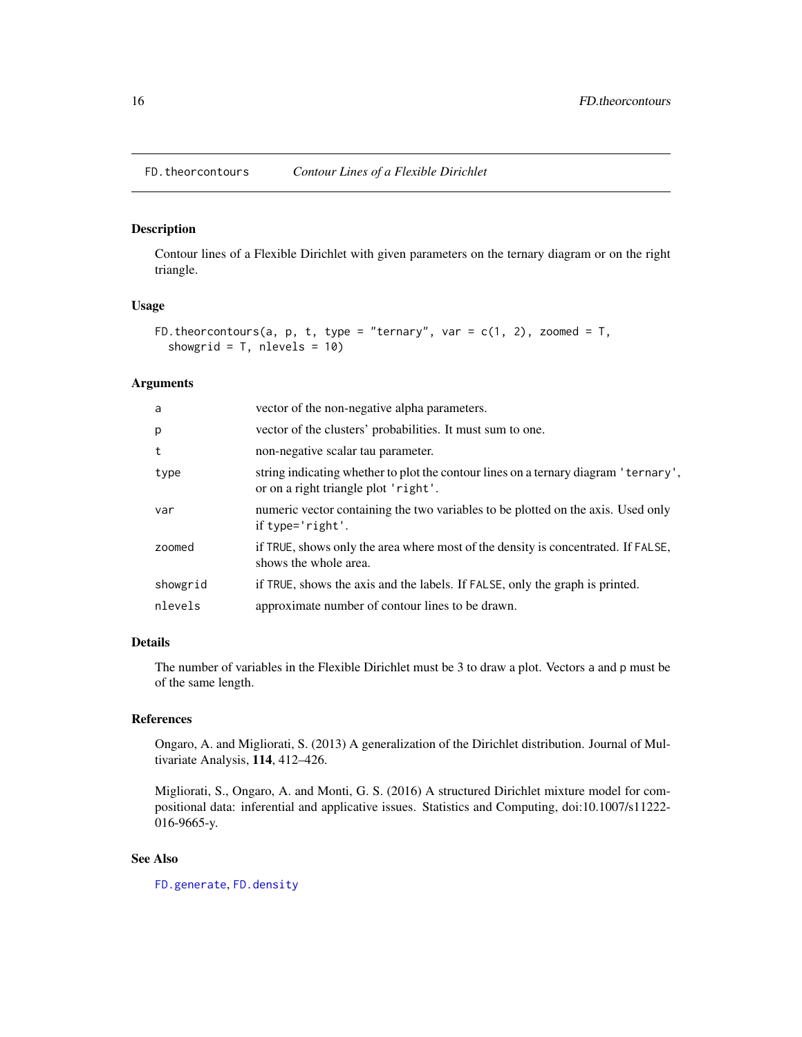<span id="page-15-1"></span><span id="page-15-0"></span>

Contour lines of a Flexible Dirichlet with given parameters on the ternary diagram or on the right triangle.

#### Usage

```
FD.theorcontours(a, p, t, type = "ternary", var = c(1, 2), zoomed = T,
 showgrid = T, nlevels = 10)
```
# Arguments

| a        | vector of the non-negative alpha parameters.                                                                                |
|----------|-----------------------------------------------------------------------------------------------------------------------------|
| p        | vector of the clusters' probabilities. It must sum to one.                                                                  |
| t        | non-negative scalar tau parameter.                                                                                          |
| type     | string indicating whether to plot the contour lines on a ternary diagram 'ternary',<br>or on a right triangle plot 'right'. |
| var      | numeric vector containing the two variables to be plotted on the axis. Used only<br>if $type='right'.$                      |
| zoomed   | if TRUE, shows only the area where most of the density is concentrated. If FALSE,<br>shows the whole area.                  |
| showgrid | if TRUE, shows the axis and the labels. If FALSE, only the graph is printed.                                                |
| nlevels  | approximate number of contour lines to be drawn.                                                                            |
|          |                                                                                                                             |

# Details

The number of variables in the Flexible Dirichlet must be 3 to draw a plot. Vectors a and p must be of the same length.

# References

Ongaro, A. and Migliorati, S. (2013) A generalization of the Dirichlet distribution. Journal of Multivariate Analysis, 114, 412–426.

Migliorati, S., Ongaro, A. and Monti, G. S. (2016) A structured Dirichlet mixture model for compositional data: inferential and applicative issues. Statistics and Computing, doi:10.1007/s11222- 016-9665-y.

# See Also

[FD.generate](#page-7-1), [FD.density](#page-4-1)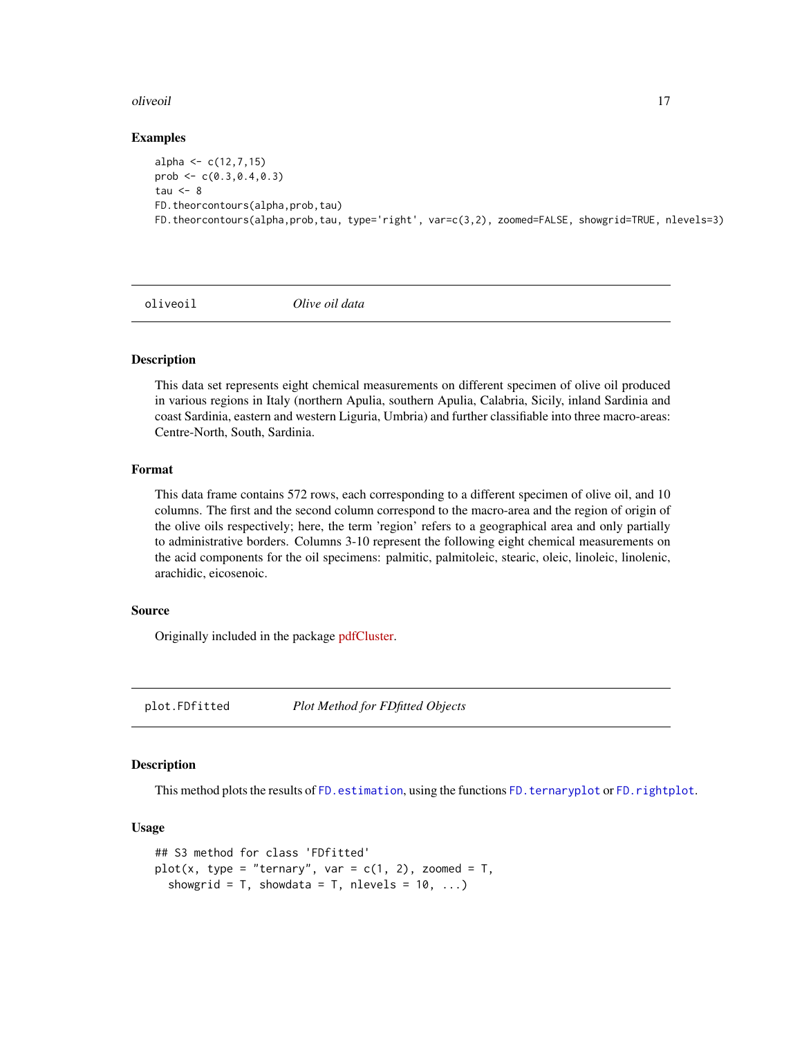#### <span id="page-16-0"></span>oliveoil **17**

#### Examples

```
alpha \leq -c(12, 7, 15)prob \leq c(0.3, 0.4, 0.3)tau <-8FD.theorcontours(alpha,prob,tau)
FD.theorcontours(alpha,prob,tau, type='right', var=c(3,2), zoomed=FALSE, showgrid=TRUE, nlevels=3)
```
oliveoil *Olive oil data*

# Description

This data set represents eight chemical measurements on different specimen of olive oil produced in various regions in Italy (northern Apulia, southern Apulia, Calabria, Sicily, inland Sardinia and coast Sardinia, eastern and western Liguria, Umbria) and further classifiable into three macro-areas: Centre-North, South, Sardinia.

#### Format

This data frame contains 572 rows, each corresponding to a different specimen of olive oil, and 10 columns. The first and the second column correspond to the macro-area and the region of origin of the olive oils respectively; here, the term 'region' refers to a geographical area and only partially to administrative borders. Columns 3-10 represent the following eight chemical measurements on the acid components for the oil specimens: palmitic, palmitoleic, stearic, oleic, linoleic, linolenic, arachidic, eicosenoic.

# Source

Originally included in the package [pdfCluster.](https://cran.r-project.org/package=pdfCluster/)

plot.FDfitted *Plot Method for FDfitted Objects*

# **Description**

This method plots the results of [FD.estimation](#page-5-1), using the functions [FD.ternaryplot](#page-14-1) or [FD.rightplot](#page-11-1).

#### Usage

```
## S3 method for class 'FDfitted'
plot(x, type = "ternary", var = c(1, 2), zoomed = T,showgrid = T, showdata = T, nlevels = 10, ...)
```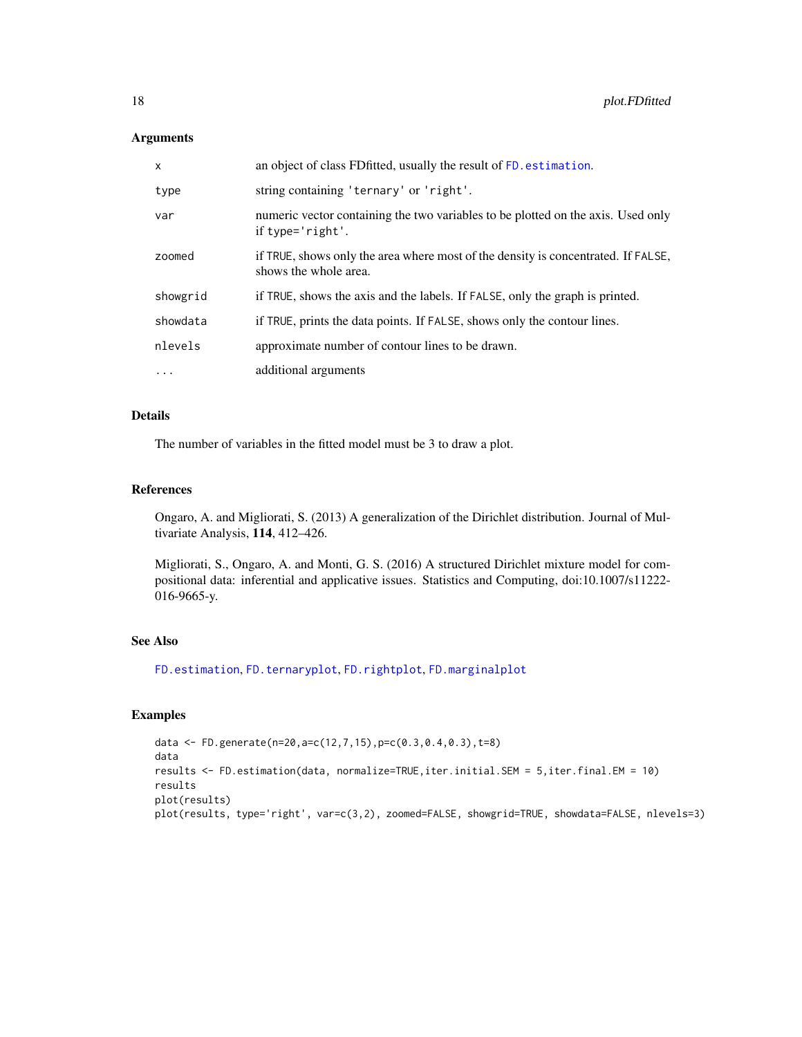#### <span id="page-17-0"></span>Arguments

| X        | an object of class FD fitted, usually the result of FD. estimation.                                        |
|----------|------------------------------------------------------------------------------------------------------------|
| type     | string containing 'ternary' or 'right'.                                                                    |
| var      | numeric vector containing the two variables to be plotted on the axis. Used only<br>if $type='right'.$     |
| zoomed   | if TRUE, shows only the area where most of the density is concentrated. If FALSE,<br>shows the whole area. |
| showgrid | if TRUE, shows the axis and the labels. If FALSE, only the graph is printed.                               |
| showdata | if TRUE, prints the data points. If FALSE, shows only the contour lines.                                   |
| nlevels  | approximate number of contour lines to be drawn.                                                           |
| $\cdots$ | additional arguments                                                                                       |

# Details

The number of variables in the fitted model must be 3 to draw a plot.

#### References

Ongaro, A. and Migliorati, S. (2013) A generalization of the Dirichlet distribution. Journal of Multivariate Analysis, 114, 412–426.

Migliorati, S., Ongaro, A. and Monti, G. S. (2016) A structured Dirichlet mixture model for compositional data: inferential and applicative issues. Statistics and Computing, doi:10.1007/s11222- 016-9665-y.

# See Also

[FD.estimation](#page-5-1), [FD.ternaryplot](#page-14-1), [FD.rightplot](#page-11-1), [FD.marginalplot](#page-8-1)

```
data <- FD.generate(n=20,a=c(12,7,15),p=c(0.3,0.4,0.3),t=8)
data
results <- FD.estimation(data, normalize=TRUE,iter.initial.SEM = 5,iter.final.EM = 10)
results
plot(results)
plot(results, type='right', var=c(3,2), zoomed=FALSE, showgrid=TRUE, showdata=FALSE, nlevels=3)
```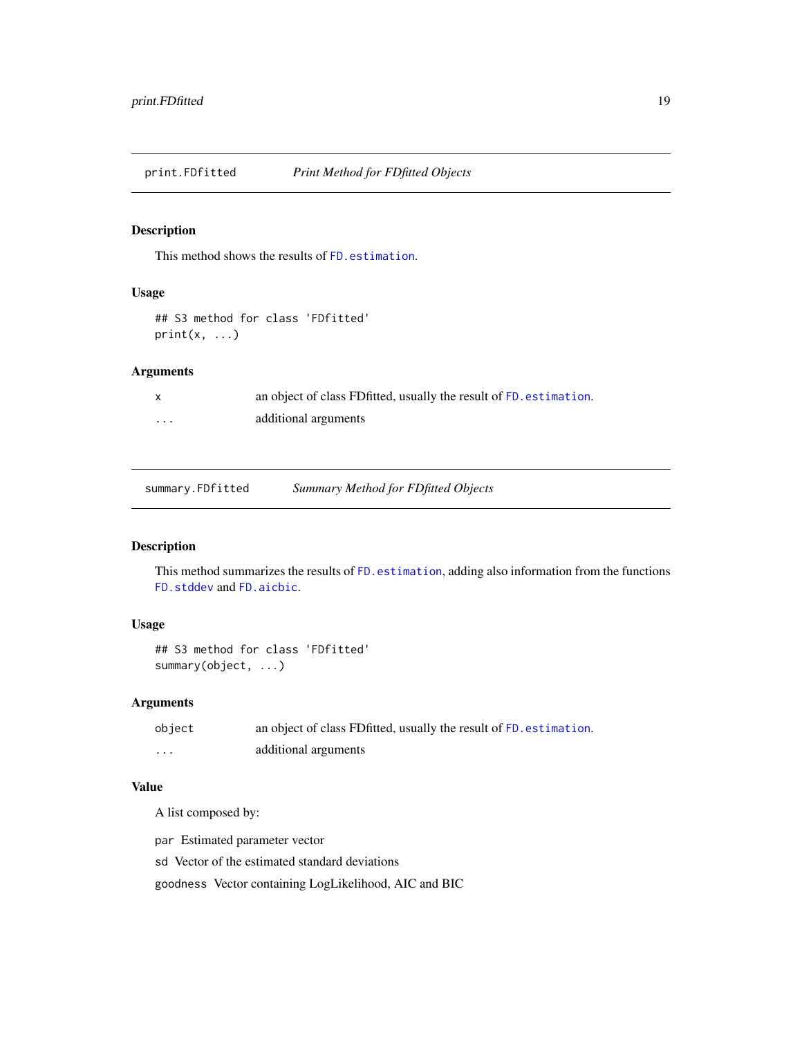<span id="page-18-0"></span>print.FDfitted *Print Method for FDfitted Objects*

# Description

This method shows the results of [FD.estimation](#page-5-1).

#### Usage

## S3 method for class 'FDfitted'  $print(x, \ldots)$ 

# Arguments

|   | an object of class FD fitted, usually the result of FD. estimation. |
|---|---------------------------------------------------------------------|
| . | additional arguments                                                |

summary.FDfitted *Summary Method for FDfitted Objects*

# Description

This method summarizes the results of [FD.estimation](#page-5-1), adding also information from the functions [FD.stddev](#page-12-1) and [FD.aicbic](#page-1-1).

# Usage

```
## S3 method for class 'FDfitted'
summary(object, ...)
```
# Arguments

| object | an object of class FD fitted, usually the result of FD. estimation. |
|--------|---------------------------------------------------------------------|
| .      | additional arguments                                                |

# Value

A list composed by:

par Estimated parameter vector

sd Vector of the estimated standard deviations

goodness Vector containing LogLikelihood, AIC and BIC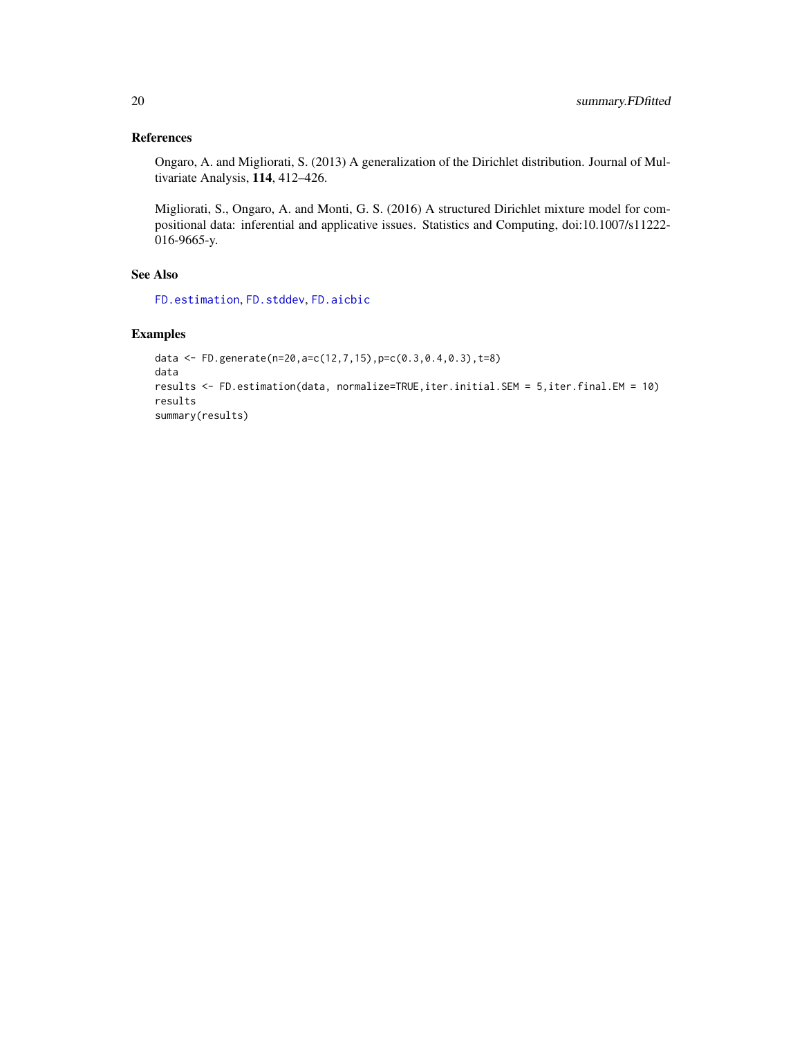# <span id="page-19-0"></span>References

Ongaro, A. and Migliorati, S. (2013) A generalization of the Dirichlet distribution. Journal of Multivariate Analysis, 114, 412–426.

Migliorati, S., Ongaro, A. and Monti, G. S. (2016) A structured Dirichlet mixture model for compositional data: inferential and applicative issues. Statistics and Computing, doi:10.1007/s11222- 016-9665-y.

# See Also

[FD.estimation](#page-5-1), [FD.stddev](#page-12-1), [FD.aicbic](#page-1-1)

```
data <- FD.generate(n=20,a=c(12,7,15),p=c(0.3,0.4,0.3),t=8)
data
results <- FD.estimation(data, normalize=TRUE,iter.initial.SEM = 5,iter.final.EM = 10)
results
summary(results)
```